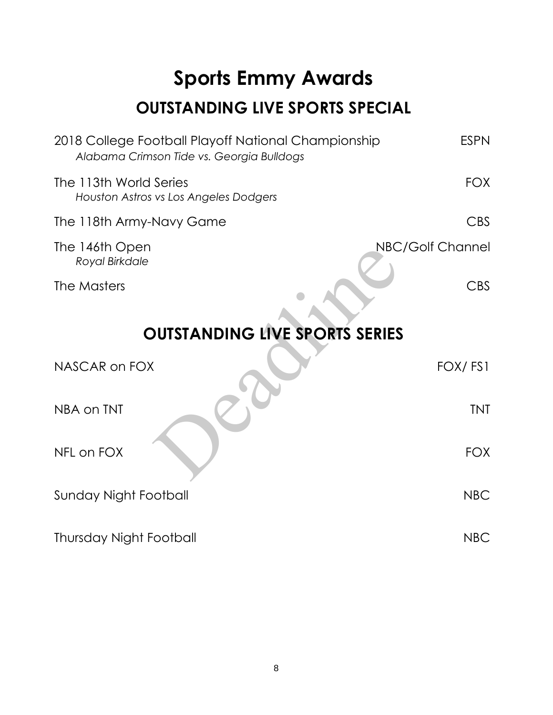# **Sports Emmy Awards OUTSTANDING LIVE SPORTS SPECIAL**

| 2018 College Football Playoff National Championship<br>Alabama Crimson Tide vs. Georgia Bulldogs | <b>ESPN</b>      |  |
|--------------------------------------------------------------------------------------------------|------------------|--|
| The 113th World Series<br>Houston Astros vs Los Angeles Dodgers                                  | <b>FOX</b>       |  |
| The 118th Army-Navy Game                                                                         | <b>CBS</b>       |  |
| The 146th Open<br>Royal Birkdale                                                                 | NBC/Golf Channel |  |
| The Masters                                                                                      | <b>CBS</b>       |  |
| <b>OUTSTANDING LIVE SPORTS SERIES</b>                                                            |                  |  |
| NASCAR on FOX                                                                                    | FOX/FS1          |  |
| NBA on TNT                                                                                       | <b>TNT</b>       |  |
| NFL on FOX                                                                                       | <b>FOX</b>       |  |
| <b>Sunday Night Football</b>                                                                     | <b>NBC</b>       |  |
| Thursday Night Football                                                                          | <b>NBC</b>       |  |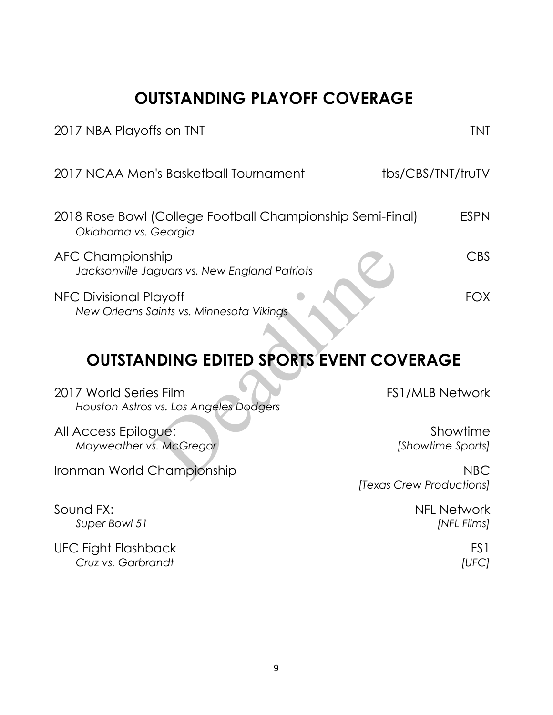**OUTSTANDING PLAYOFF COVERAGE**

| 2017 NBA Playoffs on TNT                                                          | <b>TNT</b>                             |
|-----------------------------------------------------------------------------------|----------------------------------------|
| 2017 NCAA Men's Basketball Tournament                                             | tbs/CBS/TNT/truTV                      |
| 2018 Rose Bowl (College Football Championship Semi-Final)<br>Oklahoma vs. Georgia | <b>ESPN</b>                            |
| <b>AFC Championship</b><br>Jacksonville Jaguars vs. New England Patriots          | <b>CBS</b>                             |
| NFC Divisional Playoff<br>New Orleans Saints vs. Minnesota Vikings                | <b>FOX</b>                             |
| <b>OUTSTANDING EDITED SPORTS EVENT COVERAGE</b>                                   |                                        |
| 2017 World Series Film<br>Houston Astros vs. Los Angeles Dodgers                  | <b>FS1/MLB Network</b>                 |
| All Access Epilogue:<br>Mayweather vs. McGregor                                   | Showtime<br>[Showtime Sports]          |
| Ironman World Championship                                                        | <b>NBC</b><br>[Texas Crew Productions] |
| Sound FX:<br>Super Bowl 51                                                        | <b>NFL Network</b><br>[NFL Films]      |
| UFC Fight Flashback<br>Cruz vs. Garbrandt                                         | FS1<br>[UFC]                           |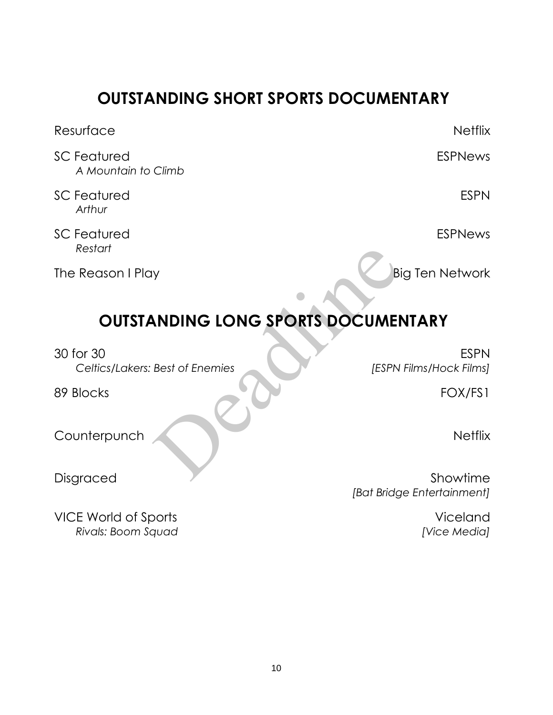### **OUTSTANDING SHORT SPORTS DOCUMENTARY**

| Resurface                                    | <b>Netflix</b>                         |
|----------------------------------------------|----------------------------------------|
| <b>SC Featured</b><br>A Mountain to Climb    | <b>ESPNews</b>                         |
| <b>SC Featured</b><br>Arthur                 | <b>ESPN</b>                            |
| <b>SC Featured</b><br>Restart                | <b>ESPNews</b>                         |
| The Reason I Play                            | <b>Big Ten Network</b>                 |
| <b>OUTSTANDING LONG SPORTS DOCUMENTARY</b>   |                                        |
| 30 for 30<br>Celtics/Lakers: Best of Enemies | <b>ESPN</b><br>[ESPN Films/Hock Films] |
| 89 Blocks                                    | FOX/FS1                                |
| Counterpunch                                 | <b>Netflix</b>                         |
| Disgraced                                    | Showtime                               |

VICE World of Sports **Viceland** *Rivals: Boom Squad [Vice Media]*

*[Bat Bridge Entertainment]*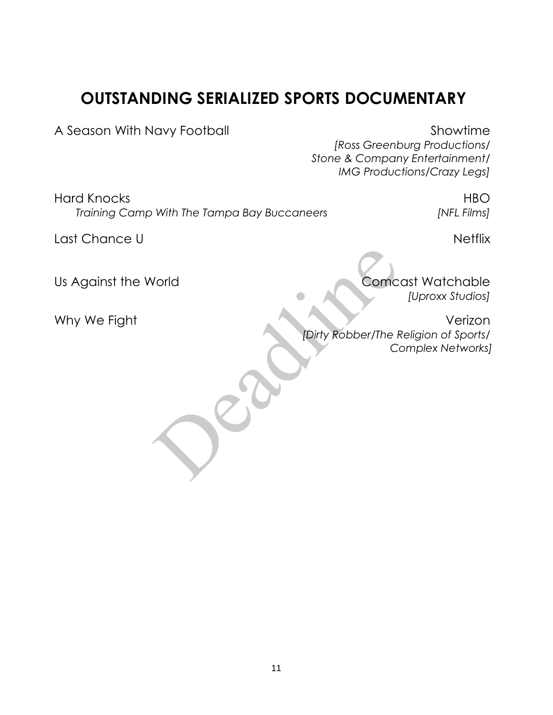### **OUTSTANDING SERIALIZED SPORTS DOCUMENTARY**

A Season With Navy Football Showtime

*[Ross Greenburg Productions/ Stone & Company Entertainment/ IMG Productions/Crazy Legs]* 

Hard Knocks **HBO** *Training Camp With The Tampa Bay Buccaneers [NFL Films]*

Last Chance U Netflix

Us Against the World Comcast Watchable

*[Uproxx Studios]*

Why We Fight Verizon *[Dirty Robber/The Religion of Sports/ Complex Networks]* Vorld<br>Comc<br>Comc<br>Comc<br>Comc<br>Comc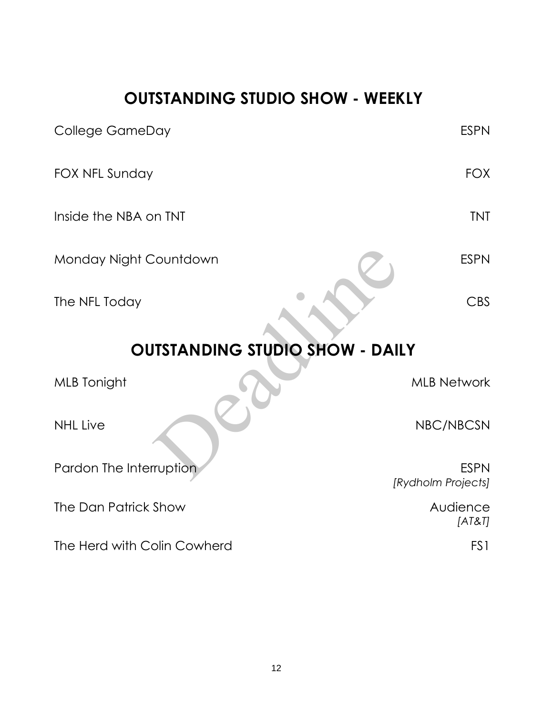### **OUTSTANDING STUDIO SHOW - WEEKLY**

| <b>College GameDay</b>                 | <b>ESPN</b>                       |  |
|----------------------------------------|-----------------------------------|--|
| FOX NFL Sunday                         | <b>FOX</b>                        |  |
| Inside the NBA on TNT                  | <b>TNT</b>                        |  |
| Monday Night Countdown                 | <b>ESPN</b>                       |  |
| The NFL Today                          | <b>CBS</b>                        |  |
| <b>OUTSTANDING STUDIO SHOW - DAILY</b> |                                   |  |
| <b>MLB</b> Tonight                     | <b>MLB Network</b>                |  |
| <b>NHL Live</b>                        | NBC/NBCSN                         |  |
| Pardon The Interruption                | <b>ESPN</b><br>[Rydholm Projects] |  |
| The Dan Patrick Show                   | Audience<br>[AT8T]                |  |
| The Herd with Colin Cowherd            | FS1                               |  |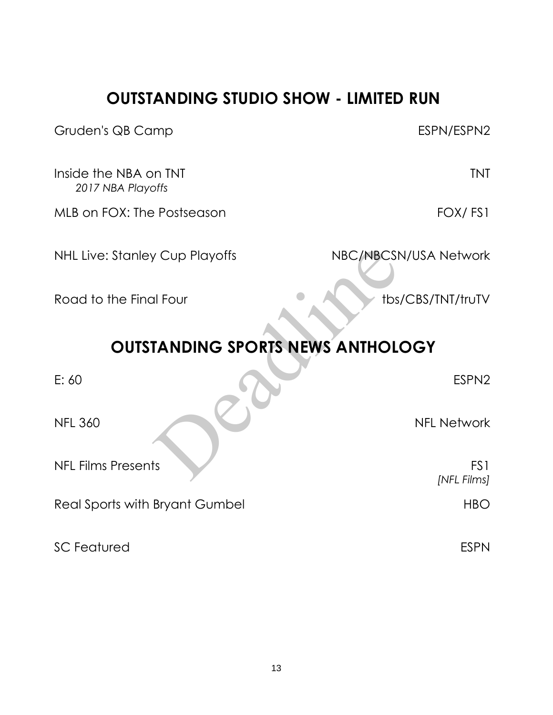### **OUTSTANDING STUDIO SHOW - LIMITED RUN**

| Gruden's QB Camp                           | ESPN/ESPN2                     |  |
|--------------------------------------------|--------------------------------|--|
| Inside the NBA on TNT<br>2017 NBA Playoffs | <b>TNT</b>                     |  |
| MLB on FOX: The Postseason                 | FOX/FS1                        |  |
| <b>NHL Live: Stanley Cup Playoffs</b>      | NBC/NBCSN/USA Network          |  |
| Road to the Final Four                     | tbs/CBS/TNT/truTV              |  |
| <b>OUTSTANDING SPORTS NEWS ANTHOLOGY</b>   |                                |  |
| E: 60                                      | ESPN <sub>2</sub>              |  |
| <b>NFL 360</b>                             | <b>NFL Network</b>             |  |
| <b>NFL Films Presents</b>                  | FS <sub>1</sub><br>[NFL Films] |  |
| Real Sports with Bryant Gumbel             | <b>HBO</b>                     |  |
| <b>SC Featured</b>                         | <b>ESPN</b>                    |  |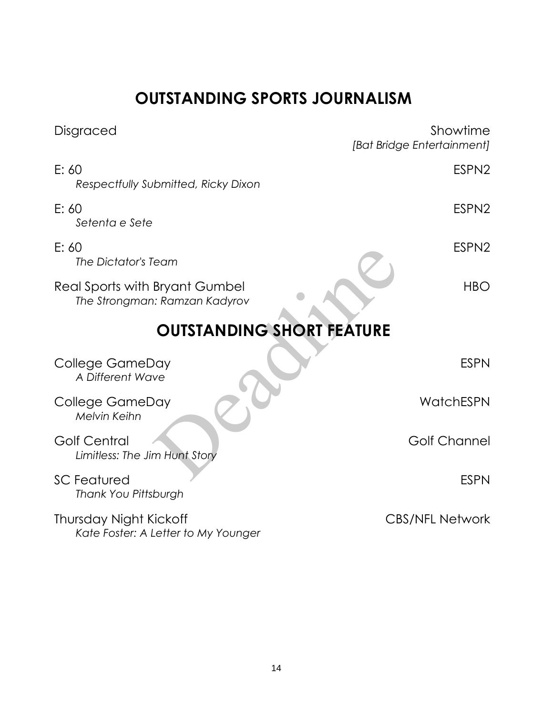### **OUTSTANDING SPORTS JOURNALISM**

| Disgraced                                                       | Showtime<br>[Bat Bridge Entertainment] |  |
|-----------------------------------------------------------------|----------------------------------------|--|
| E: 60<br>Respectfully Submitted, Ricky Dixon                    | ESPN <sub>2</sub>                      |  |
| E: 60<br>Setenta e Sete                                         | ESPN <sub>2</sub>                      |  |
| E: 60<br>The Dictator's Team                                    | ESPN <sub>2</sub>                      |  |
| Real Sports with Bryant Gumbel<br>The Strongman: Ramzan Kadyrov | <b>HBO</b>                             |  |
| <b>OUTSTANDING SHORT FEATURE</b>                                |                                        |  |
| College GameDay<br>A Different Wave                             | <b>ESPN</b>                            |  |
| College GameDay<br>Melvin Keihn                                 | WatchESPN                              |  |
| <b>Golf Central</b><br>Limitless: The Jim Hunt Story            | <b>Golf Channel</b>                    |  |
| <b>SC Featured</b><br>Thank You Pittsburgh                      | <b>ESPN</b>                            |  |
| Thursday Night Kickoff<br>Kate Foster: A Letter to My Younger   | <b>CBS/NFL Network</b>                 |  |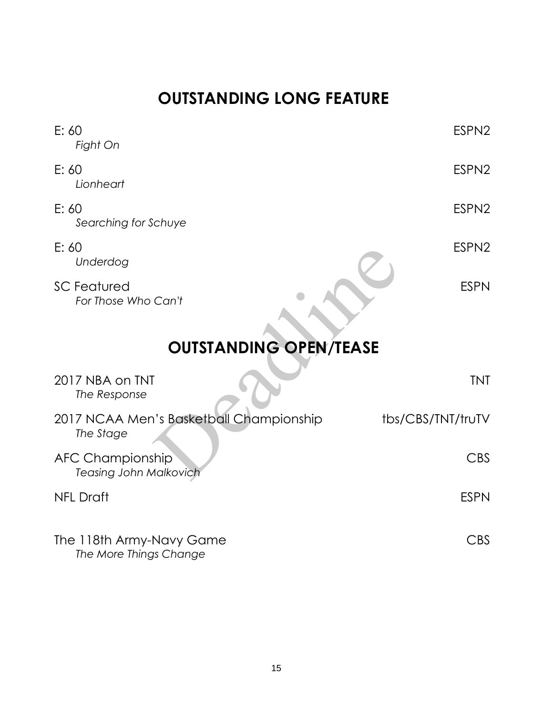## **OUTSTANDING LONG FEATURE**

| E: 60<br>Fight On                                        | ESPN <sub>2</sub> |  |
|----------------------------------------------------------|-------------------|--|
| E: 60<br>Lionheart                                       | ESPN <sub>2</sub> |  |
| E: 60<br>Searching for Schuye                            | ESPN <sub>2</sub> |  |
| E: 60<br>Underdog                                        | ESPN <sub>2</sub> |  |
| <b>SC Featured</b><br>For Those Who Can't                | <b>ESPN</b>       |  |
| <b>OUTSTANDING OPEN/TEASE</b>                            |                   |  |
| 2017 NBA on TNT<br>The Response                          | <b>TNT</b>        |  |
| 2017 NCAA Men's Basketball Championship<br>The Stage     | tbs/CBS/TNT/truTV |  |
| <b>AFC Championship</b><br><b>Teasing John Malkovich</b> | <b>CBS</b>        |  |
| <b>NFL Draft</b>                                         | <b>ESPN</b>       |  |
| The 118th Army-Navy Game<br>The More Things Change       | <b>CBS</b>        |  |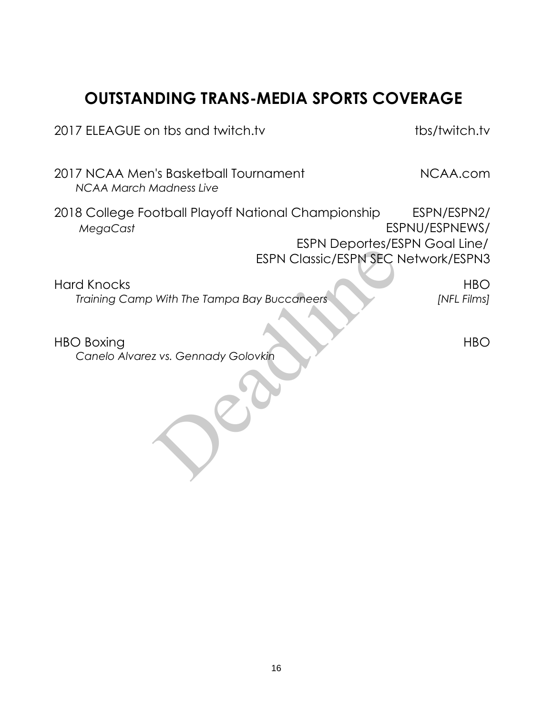### **OUTSTANDING TRANS-MEDIA SPORTS COVERAGE**

2017 ELEAGUE on tbs and twitch.tv tbs/twitch.tv

2017 NCAA Men's Basketball Tournament NCAA.com *NCAA March Madness Live*

2018 College Football Playoff National Championship ESPN/ESPN2/ *MegaCast* ESPNU/ESPNEWS/ ESPN Deportes/ESPN Goal Line/ ESPN Classic/ESPN SEC Network/ESPN3

Hard Knocks HBO *Training Camp With The Tampa Bay Buccaneers [NFL Films]* ESPN Classic/ESPN SEC N<br>With The Tampa Bay Buccaneers<br>z vs. Gennady Golovkin

HBO Boxing HBO HBO *Canelo Alvarez vs. Gennady Golovkin*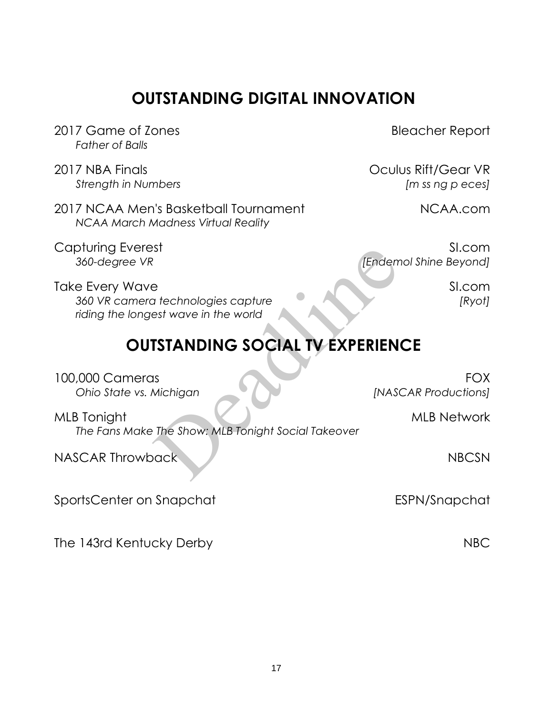### **OUTSTANDING DIGITAL INNOVATION**

- 2017 Game of Zones and the Contract of Lones Bleacher Report *Father of Balls*
- 2017 NBA Finals Oculus Rift/Gear VR

2017 NCAA Men's Basketball Tournament NCAA.com *NCAA March Madness Virtual Reality*

*Strength in Numbers [m ss ng p eces]*

Capturing Everest SI.com *360-degree VR [Endemol Shine Beyond]*

Take Every Wave SI.com *360 VR camera technologies capture [Ryot] riding the longest wave in the world*

### **OUTSTANDING SOCIAL TV EXPERIENCE**

100,000 Cameras FOX *Ohio State vs. Michigan [NASCAR Productions]* MLB Tonight MLB Network *The Fans Make The Show: MLB Tonight Social Takeover* NASCAR Throwback NBCSN NBCSN SportsCenter on Snapchat ESPN/Snapchat IST<br>
a technologies capture<br>
ast wave in the world<br> **ISTANDING SOCIAL TV EXPERIEN**<br>
IS<br>
IS<br>
Michigan [NASCIAL TV EXPERIEN<br>
IS<br>
The Show: MLB Tonight Social Takeover<br>
NASC

The 143rd Kentucky Derby NBC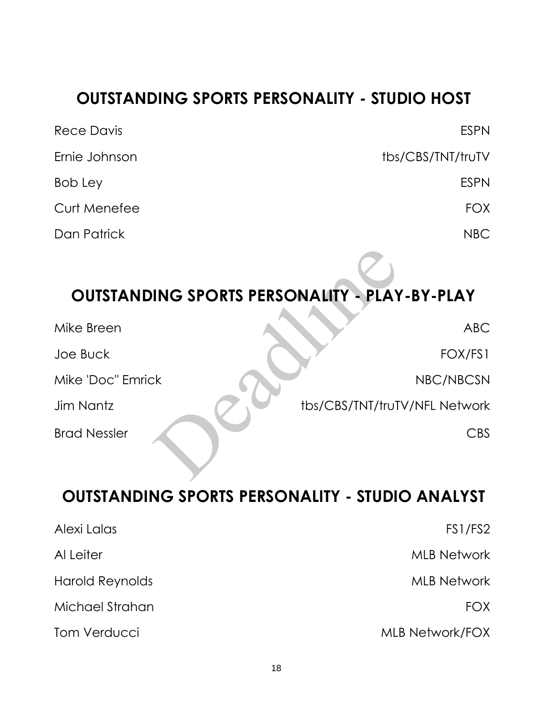### **OUTSTANDING SPORTS PERSONALITY - STUDIO HOST**

| Rece Davis    | <b>ESPN</b>       |
|---------------|-------------------|
| Ernie Johnson | tbs/CBS/TNT/truTV |
| Bob Ley       | <b>ESPN</b>       |
| Curt Menefee  | <b>FOX</b>        |
| Dan Patrick   | NBC               |

### **OUTSTANDING SPORTS PERSONALITY - PLAY-BY-PLAY**

| <b>OUTSTANDING SPORTS PERSONALITY - PLAY-BY-PLAY</b> |                               |
|------------------------------------------------------|-------------------------------|
| Mike Breen                                           | <b>ABC</b>                    |
| Joe Buck                                             | FOX/FS1                       |
| Mike 'Doc" Emrick                                    | NBC/NBCSN                     |
| Jim Nantz                                            | tbs/CBS/TNT/truTV/NFL Network |
| <b>Brad Nessler</b>                                  | CBS                           |

### **OUTSTANDING SPORTS PERSONALITY - STUDIO ANALYST**

| Alexi Lalas     | FS1/FS2                |
|-----------------|------------------------|
| Al Leiter       | <b>MLB Network</b>     |
| Harold Reynolds | <b>MLB Network</b>     |
| Michael Strahan | <b>FOX</b>             |
| Tom Verducci    | <b>MLB Network/FOX</b> |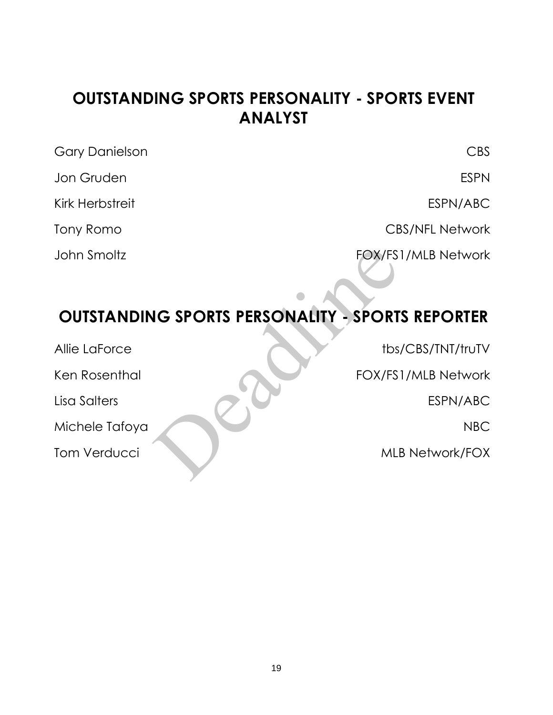### **OUTSTANDING SPORTS PERSONALITY - SPORTS EVENT ANALYST**

| <b>Gary Danielson</b> | CBS                    |
|-----------------------|------------------------|
| Jon Gruden            | <b>ESPN</b>            |
| Kirk Herbstreit       | ESPN/ABC               |
| Tony Romo             | <b>CBS/NFL Network</b> |
| John Smoltz           | FOX/FS1/MLB Network    |

### **OUTSTANDING SPORTS PERSONALITY - SPORTS REPORTER**

| John Smoltz                                             | FOX/FS1/MLB Network    |
|---------------------------------------------------------|------------------------|
| <b>OUTSTANDING SPORTS PERSONALITY - SPORTS REPORTER</b> |                        |
| Allie LaForce                                           | tbs/CBS/TNT/truTV      |
| Ken Rosenthal                                           | FOX/FS1/MLB Network    |
| Lisa Salters                                            | ESPN/ABC               |
| Michele Tafoya                                          | <b>NBC</b>             |
| <b>Tom Verducci</b>                                     | <b>MLB Network/FOX</b> |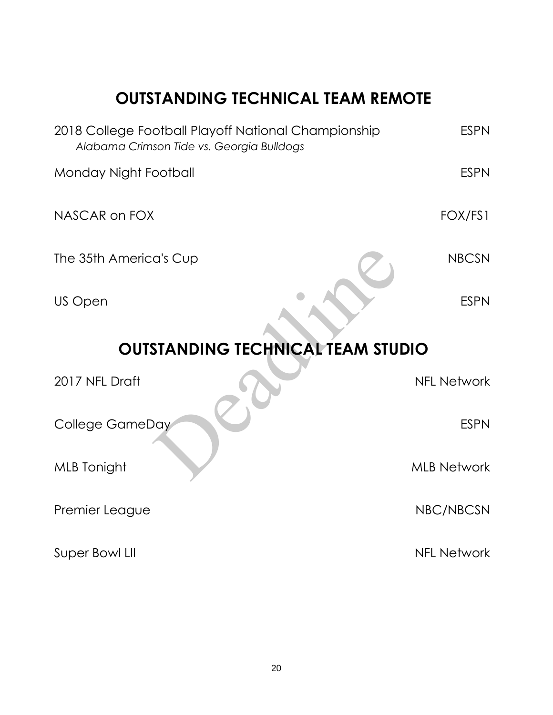### **OUTSTANDING TECHNICAL TEAM REMOTE**

| 2018 College Football Playoff National Championship<br>Alabama Crimson Tide vs. Georgia Bulldogs | <b>ESPN</b>        |  |
|--------------------------------------------------------------------------------------------------|--------------------|--|
| Monday Night Football                                                                            | <b>ESPN</b>        |  |
| NASCAR on FOX                                                                                    | FOX/FS1            |  |
| The 35th America's Cup                                                                           | <b>NBCSN</b>       |  |
| US Open                                                                                          | <b>ESPN</b>        |  |
| <b>OUTSTANDING TECHNICAL TEAM STUDIO</b>                                                         |                    |  |
| 2017 NFL Draft                                                                                   | <b>NFL Network</b> |  |
| <b>College GameDay</b>                                                                           | <b>ESPN</b>        |  |
| <b>MLB</b> Tonight                                                                               | <b>MLB Network</b> |  |
| Premier League                                                                                   | NBC/NBCSN          |  |
| Super Bowl LII                                                                                   | <b>NFL Network</b> |  |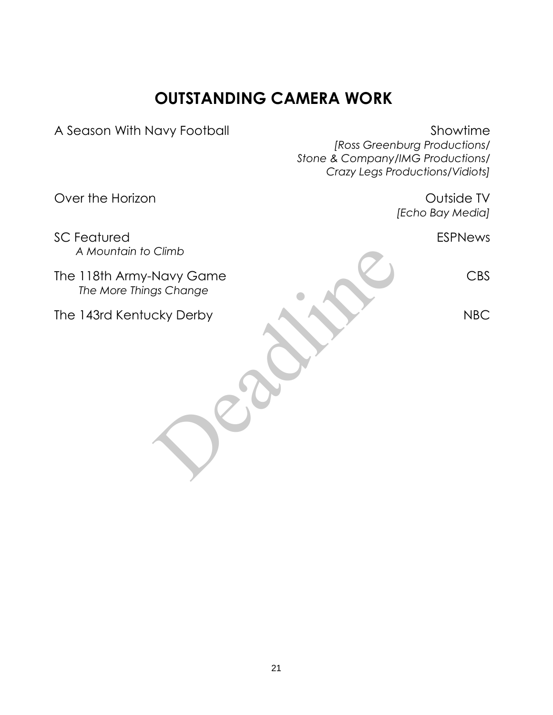### **OUTSTANDING CAMERA WORK**

A Season With Navy Football Showtime

*[Ross Greenburg Productions/ Stone & Company/IMG Productions/ Crazy Legs Productions/Vidiots]*  Over the Horizon **Outside TV** *[Echo Bay Media]* SC Featured **ESPNews** *A Mountain to Climb* The 118th Army-Navy Game CBS  *The More Things Change* The 143rd Kentucky Derby NBC Climb<br>Navy Game<br>Cky Derby<br>Contained the Contained Street of Containing Contained Street Street Street Street Street Street Street Street

21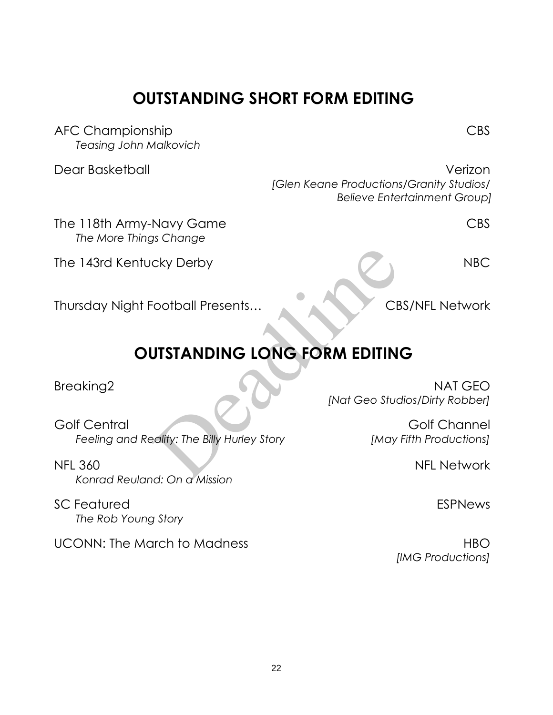The 118th Army-Navy Game CBS

The 143rd Kentucky Derby NBC

Thursday Night Football Presents... CBS/NFL Network

# **OUTSTANDING LONG FORM EDITING** CR<br>
CR<br>
CR<br>
DISTANDING LONG FORM EDITIN<br>
Mat Geo Stude<br>
Mat Geo Stude<br>
Mat Geo Stude<br>
Mat Geo Stude<br>
Mat Geo Stude<br>
Mat Geo Stude<br>
Mat Geo Stude<br>
Mat Geo Stude<br>
Mat Geo Stude<br>
Mat Geo Stude<br>
Mat Geo Stude<br>
Mat Geo Stude<br>
M

Golf Central Golf Channel *Feeling and Reality: The Billy Hurley Story [May Fifth Productions]*

NFL 360 NFL Network *Konrad Reuland: On a Mission*

SC Featured **ESPNews** *The Rob Young Story*

UCONN: The March to Madness HBO

Breaking2 NAT GEO

*[Nat Geo Studios/Dirty Robber]*

*[IMG Productions]*

### **OUTSTANDING SHORT FORM EDITING**

AFC Championship CBS *Teasing John Malkovich*

*The More Things Change*

Dear Basketball Verizon *[Glen Keane Productions/Granity Studios/ Believe Entertainment Group]*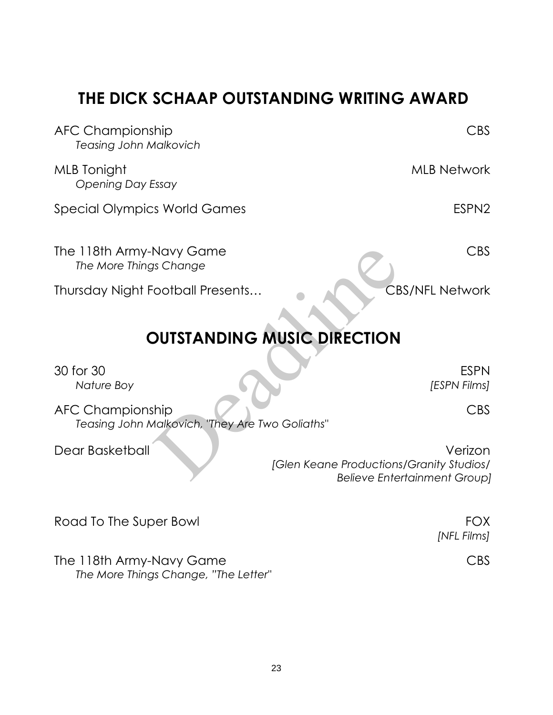### **THE DICK SCHAAP OUTSTANDING WRITING AWARD**

| <b>AFC Championship</b><br><b>Teasing John Malkovich</b>                   | <b>CBS</b>                                                                                 |  |
|----------------------------------------------------------------------------|--------------------------------------------------------------------------------------------|--|
| <b>MLB</b> Tonight<br>Opening Day Essay                                    | <b>MLB Network</b>                                                                         |  |
| <b>Special Olympics World Games</b>                                        | ESPN <sub>2</sub>                                                                          |  |
| The 118th Army-Navy Game<br>The More Things Change                         | <b>CBS</b>                                                                                 |  |
| Thursday Night Football Presents                                           | <b>CBS/NFL Network</b>                                                                     |  |
| <b>OUTSTANDING MUSIC DIRECTION</b>                                         |                                                                                            |  |
| 30 for 30<br>Nature Boy                                                    | <b>ESPN</b><br>[ESPN Films]                                                                |  |
| <b>AFC Championship</b><br>Teasing John Malkovich, "They Are Two Goliaths" | <b>CBS</b>                                                                                 |  |
| Dear Basketball                                                            | Verizon<br>[Glen Keane Productions/Granity Studios/<br><b>Believe Entertainment Group]</b> |  |
| Road To The Super Bowl                                                     | <b>FOX</b><br>[NFL Films]                                                                  |  |
| The 118th Army-Navy Game                                                   | <b>CBS</b>                                                                                 |  |

*The More Things Change, "The Letter"*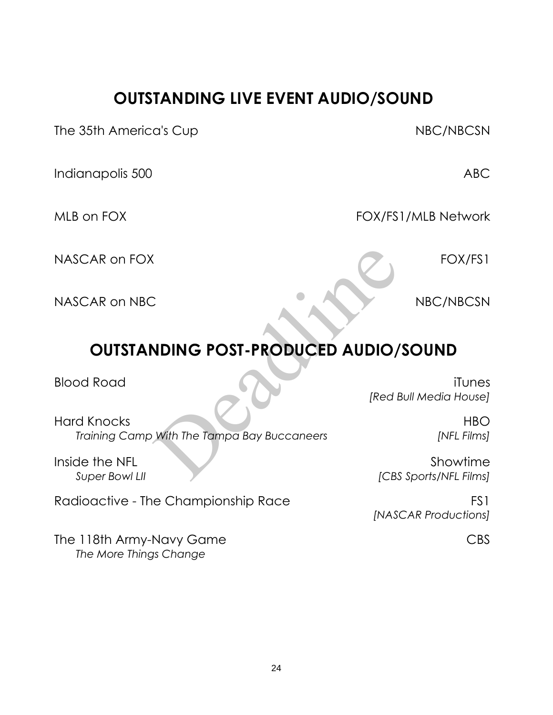### **OUTSTANDING LIVE EVENT AUDIO/SOUND**

The 35th America's Cup NBC/NBCSN

Indianapolis 500 ABC

MLB on FOX CONTROL CONTROL FOX/FS1/MLB Network

NASCAR on FOX **FOX/FS1** 

NASCAR on NBC NBC/NBCSN

## **OUTSTANDING POST-PRODUCED AUDIO/SOUND**

Blood Road iTunes *[Red Bull Media House]*

*[NASCAR Productions]*

Hard Knocks HBO *Training Camp With The Tampa Bay Buccaneers [NFL Films]* VIDING POST-PRODUCED AUDIO/<br>
Fred B<br>
With The Tampa Bay Buccaneers<br>
[CBS

Inside the NFL Showtime *Super Bowl LII [CBS Sports/NFL Films]*

Radioactive - The Championship Race FS1

The 118th Army-Navy Game CBS *The More Things Change*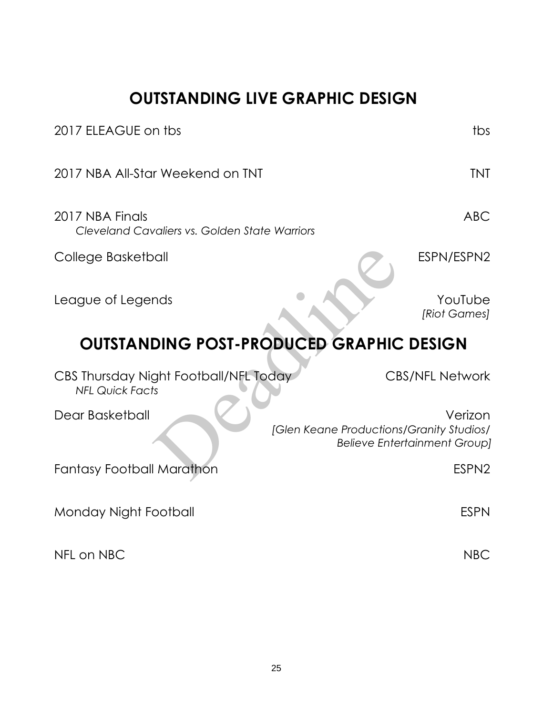### **OUTSTANDING LIVE GRAPHIC DESIGN**

| 2017 ELEAGUE on tbs                                              | tbs                                                                                        |  |
|------------------------------------------------------------------|--------------------------------------------------------------------------------------------|--|
| 2017 NBA All-Star Weekend on TNT                                 | <b>TNT</b>                                                                                 |  |
| 2017 NBA Finals<br>Cleveland Cavaliers vs. Golden State Warriors | <b>ABC</b>                                                                                 |  |
| College Basketball                                               | ESPN/ESPN2                                                                                 |  |
| League of Legends                                                | YouTube<br>[Riot Games]                                                                    |  |
| <b>OUTSTANDING POST-PRODUCED GRAPHIC DESIGN</b>                  |                                                                                            |  |
| CBS Thursday Night Football/NFL Today<br><b>NFL Quick Facts</b>  | <b>CBS/NFL Network</b>                                                                     |  |
| Dear Basketball                                                  | Verizon<br>[Glen Keane Productions/Granity Studios/<br><b>Believe Entertainment Group]</b> |  |
| <b>Fantasy Football Marathon</b>                                 | ESPN <sub>2</sub>                                                                          |  |
| Monday Night Football                                            | <b>ESPN</b>                                                                                |  |
| NFL on NBC                                                       | <b>NBC</b>                                                                                 |  |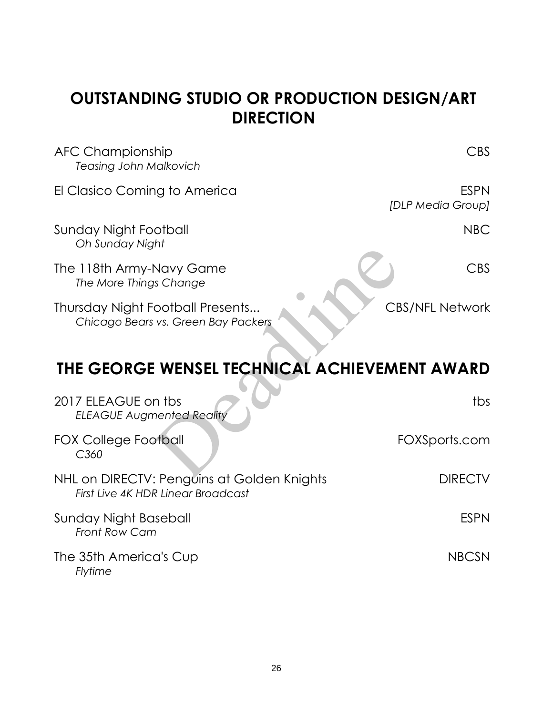### **OUTSTANDING STUDIO OR PRODUCTION DESIGN/ART DIRECTION**

| <b>AFC Championship</b><br><b>Teasing John Malkovich</b>                         | <b>CBS</b>                       |
|----------------------------------------------------------------------------------|----------------------------------|
| El Clasico Coming to America                                                     | <b>ESPN</b><br>[DLP Media Group] |
| <b>Sunday Night Football</b><br>Oh Sunday Night                                  | <b>NBC</b>                       |
| The 118th Army-Navy Game<br>The More Things Change                               | CBS                              |
| Thursday Night Football Presents<br>Chicago Bears vs. Green Bay Packers          | <b>CBS/NFL Network</b>           |
| THE GEORGE WENSEL TECHNICAL ACHIEVEMENT AWARD                                    |                                  |
| 2017 ELEAGUE on tbs<br><b>ELEAGUE Augmented Reality</b>                          | tbs                              |
| <b>FOX College Football</b><br>C <sub>360</sub>                                  | FOXSports.com                    |
| NHL on DIRECTV: Penguins at Golden Knights<br>First Live 4K HDR Linear Broadcast | <b>DIRECTV</b>                   |
| Sunday Night Baseball<br>Front Row Cam                                           | <b>ESPN</b>                      |

The 35th America's Cup NBCSN *Flytime*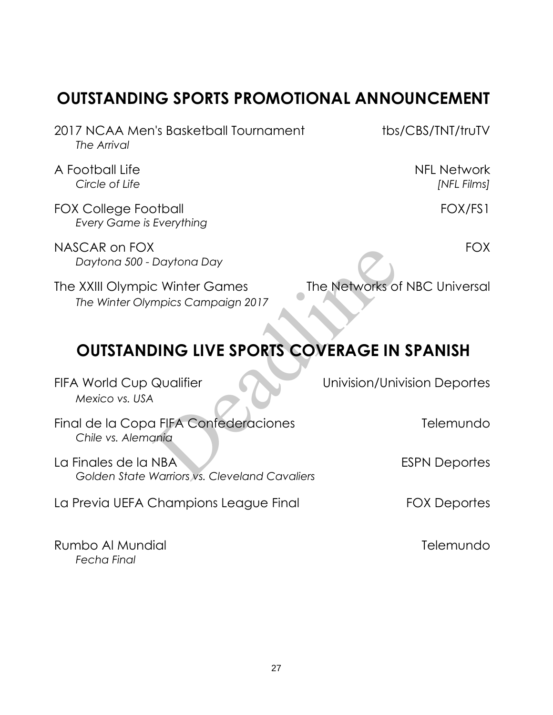### **OUTSTANDING SPORTS PROMOTIONAL ANNOUNCEMENT**

2017 NCAA Men's Basketball Tournament tbs/CBS/TNT/truTV *The Arrival*

A Football Life NFL Network

FOX College Football FOX/FS1 *Every Game is Everything*

NASCAR on FOX FOX **FOX** *Daytona 500 - Daytona Day*

The XXIII Olympic Winter Games The Networks of NBC Universal *The Winter Olympics Campaign 2017*

## **OUTSTANDING LIVE SPORTS COVERAGE IN SPANISH**

FIFA World Cup Qualifier **The Univision/Univision Deportes** *Mexico vs. USA* Final de la Copa FIFA Confederaciones Telemundo *Chile vs. Alemania* La Finales de la NBA established de la NBA establecer establecer establecer establecer establecer establecer e *Golden State Warriors vs. Cleveland Cavaliers*  La Previa UEFA Champions League Final FOX Deportes Rumbo Al Mundial **Telemundo** Daytona Day<br>
C Winter Games<br>
mpics Campaign 2017<br> **DING LIVE SPORTS COVERAGE IN<br>
Qualifier Univision/Univ<br>
A FIFA Confederaciones<br>
A FIFA Confederaciones<br>
A Martiors vs. Cleveland Cavaliers** 

*Fecha Final*

*Circle of Life [NFL Films]*